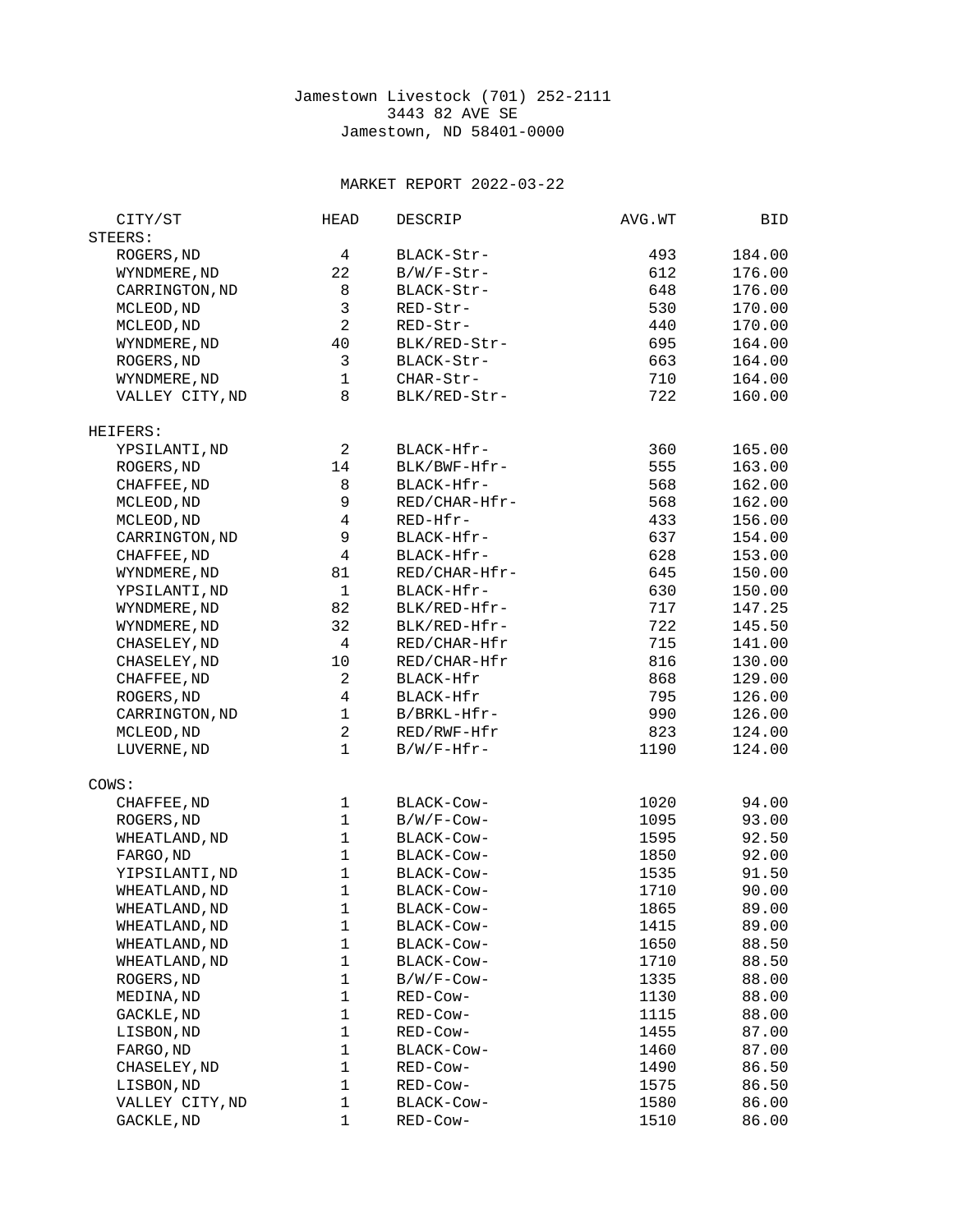## Jamestown Livestock (701) 252-2111 3443 82 AVE SE Jamestown, ND 58401-0000

## MARKET REPORT 2022-03-22

| CITY/ST         | <b>HEAD</b>               | <b>DESCRIP</b> | AVG.WT | BID    |
|-----------------|---------------------------|----------------|--------|--------|
| STEERS:         |                           |                |        |        |
| ROGERS, ND      | 4                         | BLACK-Str-     | 493    | 184.00 |
| WYNDMERE, ND    | 22                        | B/W/F-Str-     | 612    | 176.00 |
| CARRINGTON, ND  | 8                         | BLACK-Str-     | 648    | 176.00 |
| MCLEOD, ND      | 3                         | RED-Str-       | 530    | 170.00 |
|                 | $\overline{c}$            | RED-Str-       | 440    | 170.00 |
| MCLEOD, ND      | 40                        |                |        |        |
| WYNDMERE, ND    |                           | BLK/RED-Str-   | 695    | 164.00 |
| ROGERS, ND      | $\ensuremath{\mathsf{3}}$ | BLACK-Str-     | 663    | 164.00 |
| WYNDMERE, ND    | $\mathbf{1}$              | CHAR-Str-      | 710    | 164.00 |
| VALLEY CITY, ND | 8                         | BLK/RED-Str-   | 722    | 160.00 |
| HEIFERS:        |                           |                |        |        |
| YPSILANTI, ND   | $\overline{2}$            | BLACK-Hfr-     | 360    | 165.00 |
| ROGERS, ND      | 14                        | BLK/BWF-Hfr-   | 555    | 163.00 |
| CHAFFEE, ND     | 8                         | BLACK-Hfr-     | 568    | 162.00 |
| MCLEOD, ND      | 9                         | RED/CHAR-Hfr-  | 568    | 162.00 |
| MCLEOD, ND      | $\overline{\mathbf{4}}$   | RED-Hfr-       | 433    | 156.00 |
| CARRINGTON, ND  | $\boldsymbol{9}$          | BLACK-Hfr-     | 637    | 154.00 |
| CHAFFEE, ND     | $\overline{\mathbf{4}}$   | BLACK-Hfr-     | 628    | 153.00 |
| WYNDMERE, ND    | 81                        | RED/CHAR-Hfr-  | 645    | 150.00 |
| YPSILANTI, ND   | $\mathbf{1}$              | BLACK-Hfr-     | 630    | 150.00 |
|                 | 82                        | BLK/RED-Hfr-   | 717    |        |
| WYNDMERE, ND    |                           |                |        | 147.25 |
| WYNDMERE, ND    | 32                        | BLK/RED-Hfr-   | 722    | 145.50 |
| CHASELEY, ND    | 4                         | RED/CHAR-Hfr   | 715    | 141.00 |
| CHASELEY, ND    | 10                        | RED/CHAR-Hfr   | 816    | 130.00 |
| CHAFFEE, ND     | $\overline{c}$            | BLACK-Hfr      | 868    | 129.00 |
| ROGERS, ND      | $\overline{4}$            | BLACK-Hfr      | 795    | 126.00 |
| CARRINGTON, ND  | $\mathbf{1}$              | B/BRKL-Hfr-    | 990    | 126.00 |
| MCLEOD, ND      | $\overline{c}$            | RED/RWF-Hfr    | 823    | 124.00 |
| LUVERNE, ND     | $\mathbf{1}$              | B/W/F-Hfr-     | 1190   | 124.00 |
| COWS:           |                           |                |        |        |
| CHAFFEE, ND     | 1                         | BLACK-COW-     | 1020   | 94.00  |
| ROGERS, ND      | $\mathbf{1}$              | B/W/F-Cow-     | 1095   | 93.00  |
| WHEATLAND, ND   | $\mathbf{1}$              | BLACK-Cow-     | 1595   | 92.50  |
| FARGO, ND       | $\mathbf{1}$              | BLACK-Cow-     | 1850   | 92.00  |
| YIPSILANTI, ND  | $\mathbf{1}$              | BLACK-Cow-     | 1535   | 91.50  |
| WHEATLAND, ND   | $\mathbf{1}$              | BLACK-COW-     | 1710   | 90.00  |
| WHEATLAND, ND   | 1                         | BLACK-Cow-     | 1865   | 89.00  |
|                 | 1                         |                |        | 89.00  |
| WHEATLAND, ND   |                           | BLACK-Cow-     | 1415   |        |
| WHEATLAND, ND   | 1                         | BLACK-Cow-     | 1650   | 88.50  |
| WHEATLAND, ND   | 1                         | BLACK-Cow-     | 1710   | 88.50  |
| ROGERS, ND      | 1                         | B/W/F-Cow-     | 1335   | 88.00  |
| MEDINA, ND      | 1                         | RED-Cow-       | 1130   | 88.00  |
| GACKLE, ND      | 1                         | RED-Cow-       | 1115   | 88.00  |
| LISBON, ND      | 1                         | RED-Cow-       | 1455   | 87.00  |
| FARGO, ND       | 1                         | BLACK-COW-     | 1460   | 87.00  |
| CHASELEY, ND    | 1                         | RED-Cow-       | 1490   | 86.50  |
| LISBON, ND      | 1                         | RED-Cow-       | 1575   | 86.50  |
| VALLEY CITY, ND | 1                         | BLACK-Cow-     | 1580   | 86.00  |
| GACKLE, ND      | 1                         | RED-Cow-       | 1510   | 86.00  |